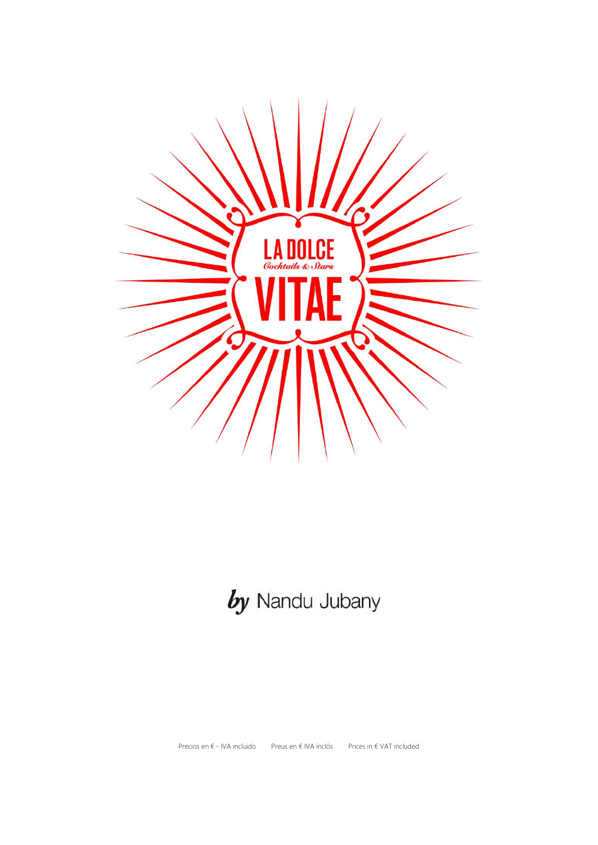

# by Nandu Jubany

Precios en € - IVA incluido Preus en € IVA inclós Prices in € VAT included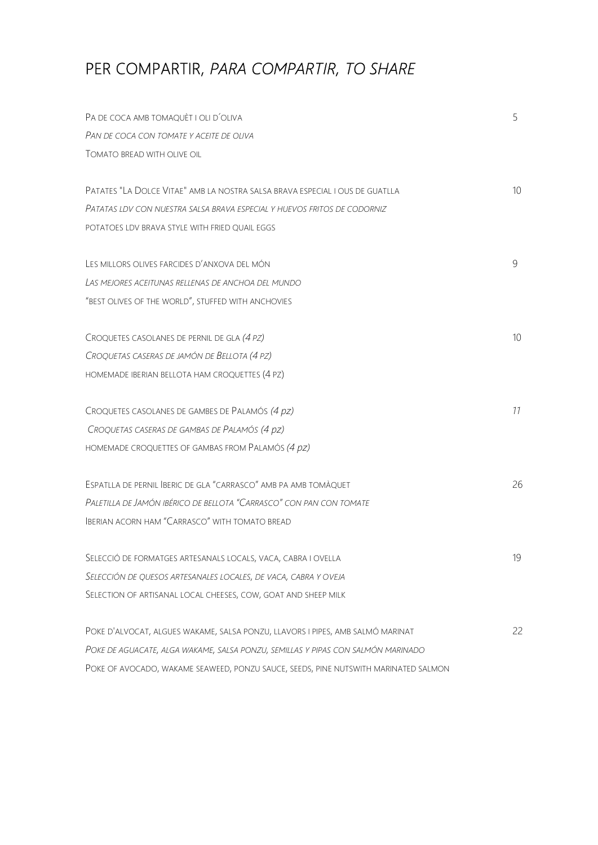# PER COMPARTIR, PARA COMPARTIR, TO SHARE

| PA DE COCA AMB TOMAQUÈT I OLI D'OLIVA                                               | 5               |
|-------------------------------------------------------------------------------------|-----------------|
| PAN DE COCA CON TOMATE Y ACEITE DE OLIVA                                            |                 |
| TOMATO BREAD WITH OLIVE OIL                                                         |                 |
|                                                                                     |                 |
| PATATES "LA DOLCE VITAE" AMB LA NOSTRA SALSA BRAVA ESPECIAL I OUS DE GUATLLA        | 10 <sup>°</sup> |
| PATATAS LDV CON NUESTRA SALSA BRAVA ESPECIAL Y HUEVOS FRITOS DE CODORNIZ            |                 |
| POTATOES LDV BRAVA STYLE WITH FRIED QUAIL EGGS                                      |                 |
| LES MILLORS OLIVES FARCIDES D'ANXOVA DEL MÓN                                        | 9               |
| LAS MEJORES ACEITUNAS RELLENAS DE ANCHOA DEL MUNDO                                  |                 |
| "BEST OLIVES OF THE WORLD", STUFFED WITH ANCHOVIES                                  |                 |
| CROQUETES CASOLANES DE PERNIL DE GLA (4 PZ)                                         | 10 <sup>°</sup> |
| CROQUETAS CASERAS DE JAMÓN DE BELLOTA (4 PZ)                                        |                 |
| HOMEMADE IBERIAN BELLOTA HAM CROQUETTES (4 PZ)                                      |                 |
| CROQUETES CASOLANES DE GAMBES DE PALAMÓS (4 pz)                                     | 11              |
| CROQUETAS CASERAS DE GAMBAS DE PALAMÓS (4 pz)                                       |                 |
| HOMEMADE CROQUETTES OF GAMBAS FROM PALAMÓS (4 pz)                                   |                 |
| ESPATLLA DE PERNIL BERIC DE GLA "CARRASCO" AMB PA AMB TOMÀQUET                      | 26              |
| PALETILLA DE JAMÓN IBÉRICO DE BELLOTA "CARRASCO" CON PAN CON TOMATE                 |                 |
| <b>IBERIAN ACORN HAM "CARRASCO" WITH TOMATO BREAD</b>                               |                 |
| SELECCIÓ DE FORMATGES ARTESANALS LOCALS, VACA, CABRA I OVELLA                       | 19              |
| SELECCIÓN DE QUESOS ARTESANALES LOCALES, DE VACA, CABRA Y OVEJA                     |                 |
| SELECTION OF ARTISANAL LOCAL CHEESES, COW, GOAT AND SHEEP MILK                      |                 |
| POKE D'ALVOCAT, ALGUES WAKAME, SALSA PONZU, LLAVORS I PIPES, AMB SALMÓ MARINAT      | 22              |
| POKE DE AGUACATE, ALGA WAKAME, SALSA PONZU, SEMILLAS Y PIPAS CON SALMÓN MARINADO    |                 |
| POKE OF AVOCADO, WAKAME SEAWEED, PONZU SAUCE, SEEDS, PINE NUTSWITH MARINATED SALMON |                 |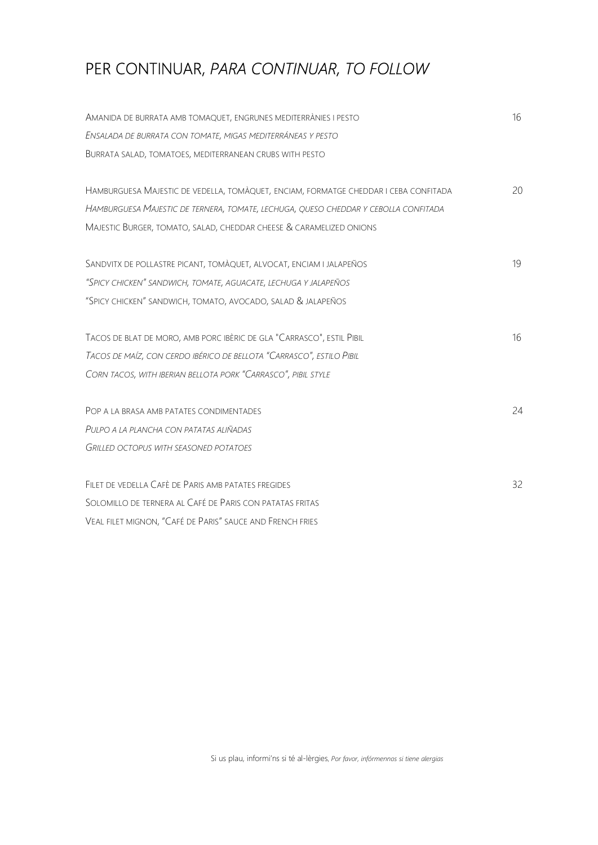# PER CONTINUAR, PARA CONTINUAR, TO FOLLOW

| AMANIDA DE BURRATA AMB TOMAQUET, ENGRUNES MEDITERRÀNIES I PESTO                      | 16 |
|--------------------------------------------------------------------------------------|----|
| ENSALADA DE BURRATA CON TOMATE, MIGAS MEDITERRÁNEAS Y PESTO                          |    |
| BURRATA SALAD, TOMATOES, MEDITERRANEAN CRUBS WITH PESTO                              |    |
|                                                                                      |    |
| HAMBURGUESA MAJESTIC DE VEDELLA, TOMÀQUET, ENCIAM, FORMATGE CHEDDAR I CEBA CONFITADA | 20 |
| HAMBURGUESA MAJESTIC DE TERNERA, TOMATE, LECHUGA, QUESO CHEDDAR Y CEBOLLA CONFITADA  |    |
| MAJESTIC BURGER, TOMATO, SALAD, CHEDDAR CHEESE & CARAMELIZED ONIONS                  |    |
|                                                                                      |    |
| SANDVITX DE POLLASTRE PICANT, TOMÀQUET, ALVOCAT, ENCIAM I JALAPEÑOS                  | 19 |
| "SPICY CHICKEN" SANDWICH, TOMATE, AGUACATE, LECHUGA Y JALAPEÑOS                      |    |
| "SPICY CHICKEN" SANDWICH, TOMATO, AVOCADO, SALAD & JALAPEÑOS                         |    |
|                                                                                      |    |
| TACOS DE BLAT DE MORO, AMB PORC IBÈRIC DE GLA "CARRASCO", ESTIL PIBIL                | 16 |
| TACOS DE MAÍZ, CON CERDO IBÉRICO DE BELLOTA "CARRASCO", ESTILO PIBIL                 |    |
| CORN TACOS, WITH IBERIAN BELLOTA PORK "CARRASCO", PIBIL STYLE                        |    |
|                                                                                      |    |
| POP A LA BRASA AMB PATATES CONDIMENTADES                                             | 24 |
| PULPO A LA PLANCHA CON PATATAS ALIÑADAS                                              |    |
| <b>GRILLED OCTOPUS WITH SEASONED POTATOES</b>                                        |    |
|                                                                                      |    |
| FILET DE VEDELLA CAFÈ DE PARIS AMB PATATES FREGIDES                                  | 32 |
| SOLOMILLO DE TERNERA AL CAFÉ DE PARIS CON PATATAS FRITAS                             |    |
| VEAL FILET MIGNON, "CAFÉ DE PARIS" SAUCE AND FRENCH FRIES                            |    |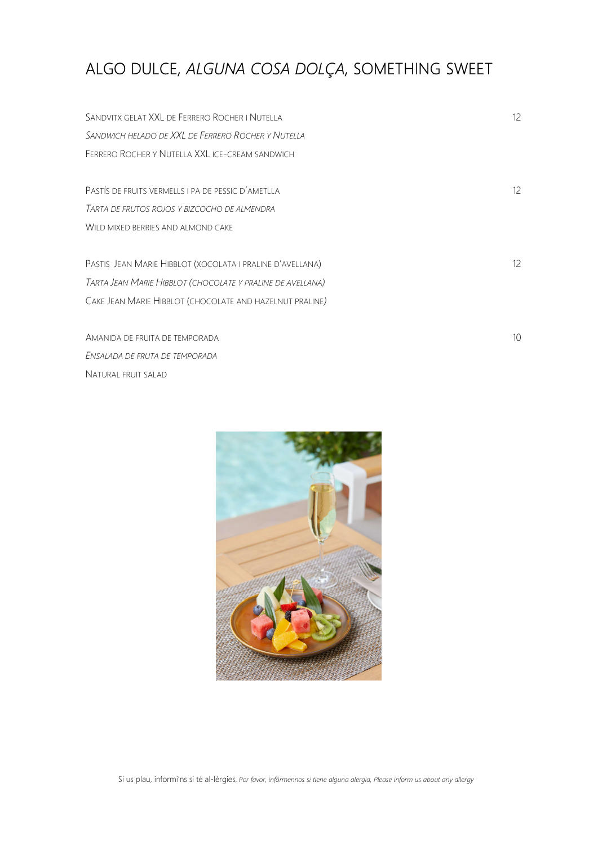## ALGO DULCE, ALGUNA COSA DOLÇA, SOMETHING SWEET

SANDVITX GELAT XXL DE FERRERO ROCHER I NUTELLA 12 SANDWICH HELADO DE XXL DE FERRERO ROCHER Y NUTELLA FERRERO ROCHER Y NUTELLA XXL ICE-CREAM SANDWICH PASTÍS DE FRUITS VERMELLS I PA DE PESSIC D'AMETLLA TARTA DE FRUTOS ROJOS Y BIZCOCHO DE ALMENDRA WILD MIXED BERRIES AND ALMOND CAKE PASTIS JEAN MARIE HIBBLOT (XOCOLATA I PRALINE D'AVELLANA) 12 TARTA JEAN MARIE HIBBLOT (CHOCOLATE Y PRALINE DE AVELLANA) CAKE JEAN MARIE HIBBLOT (CHOCOLATE AND HAZELNUT PRALINE)

AMANIDA DE FRUITA DE TEMPORADA 10 ENSALADA DE FRUTA DE TEMPORADA NATURAL FRUIT SALAD



Si us plau, informi'ns si té al-lèrgies, Por favor, infórmennos si tiene alguna alergia, Please inform us about any allergy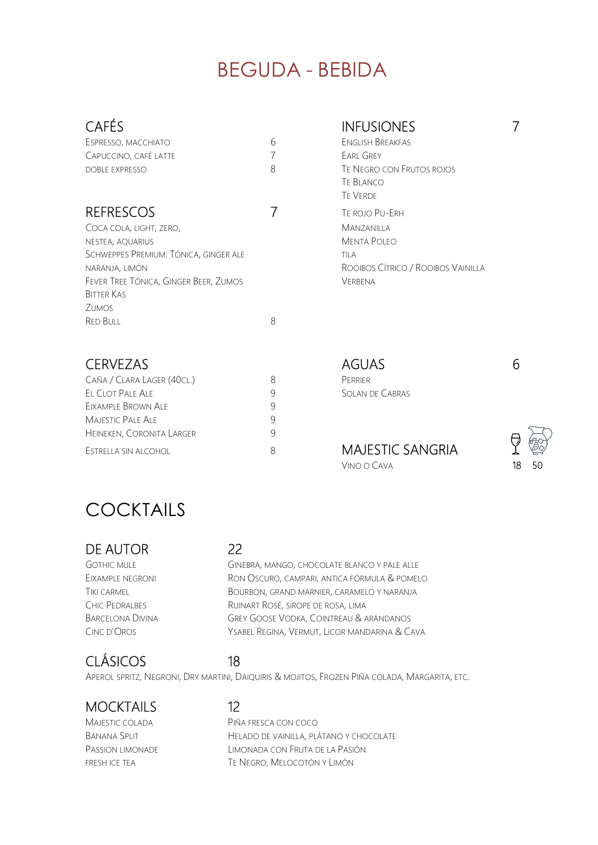# BEGUDA - BEBIDA

## CAFÉS INFUSIONES 7

| ESPRESSO, MACCHIATO   |  |
|-----------------------|--|
| CAPUCCINO, CAFÉ LATTE |  |
| DOBLE EXPRESSO        |  |

### REFRESCOS 7 TE ROJO PU-ERH

| Coca cola, light, zero,               |   | Mar   |
|---------------------------------------|---|-------|
| NESTEA, AQUARIUS                      |   | MEN   |
| Schweppes Premium: Tónica, ginger ale |   | TII A |
| NARANJA, LIMÓN                        |   | Roc   |
| Fever Tree Tónica, Ginger Beer, Zumos |   | VFRI  |
| Bitter Kas                            |   |       |
| Zumos                                 |   |       |
| <b>RED BULL</b>                       | 8 |       |

EIXAMPLE BROWN ALE 9 MAJESTIC PALE ALE HEINEKEN, CORONITA LARGER 9

6 ENGLISH BREAKFAS 7 FARI GREY

### 8 TE NEGRO CON FRUTOS ROJOS TE BLANCO TE VERDE **MANZANILLA MENTA POLEO** ROOIBOS CÍTRICO / ROOIBOS VAINILLA VERBENA

CERVEZAS AGUAS 6 CAÑA / CLARA LAGER (40CL.) 8 PERRIER EL CLOT PALE ALE 9 SOLAN DE CABRAS

ESTRELLA SIN ALCOHOL 8 MAJESTIC SANGRIA VINO O CAVA 18 50



# COCKTAILS

### DE AUTOR 22

GOTHIC MULE GINEBRA, MANGO, CHOCOLATE BLANCO Y PALE ALLE EIXAMPLE NEGRONI RON OSCURO, CAMPARI, ANTICA FÓRMULA & POMELO TIKI CARMEL BOURBON, GRAND MARNIER, CARAMELO Y NARANJA CHIC PEDRALBES RUINART ROSÉ, SIROPE DE ROSA, LIMA BARCELONA DIVINA GREY GOOSE VODKA, COINTREAU & ARÁNDANOS CINC D'OROS YSABEL REGINA, VERMUT, LICOR MANDARINA & CAVA

## CLÁSICOS 18

APEROL SPRITZ, NEGRONI, DRY MARTINI, DAIQUIRIS & MOJITOS, FROZEN PIÑA COLADA, MARGARITA, ETC.

### MOCKTAILS 12

MAJESTIC COLADA PIÑA FRESCA CON COCO BANANA SPLIT HELADO DE VAINILLA, PLÁTANO Y CHOCOLATE PASSION LIMONADE LIMONADA CON FRUTA DE LA PASIÓN FRESH ICE TEA TE NEGRO, MELOCOTÓN Y LIMÓN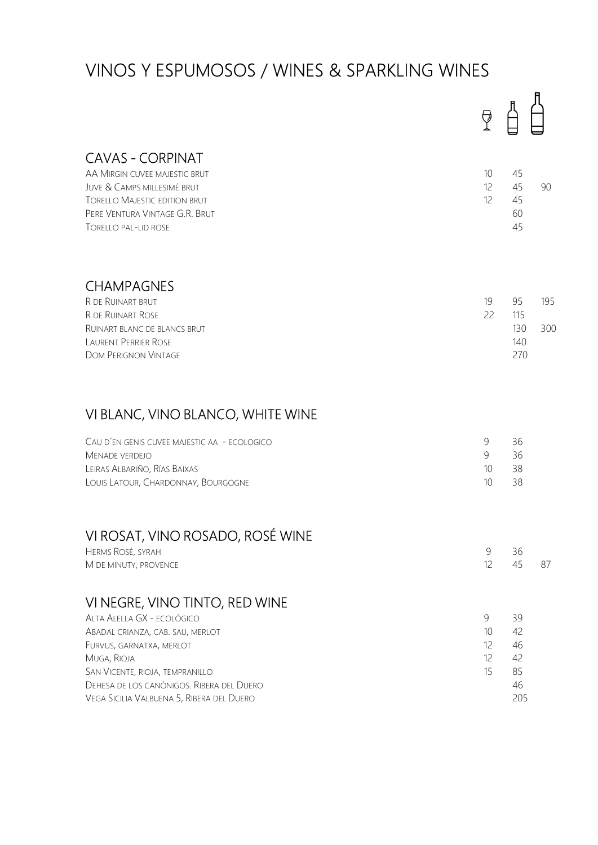# VINOS Y ESPUMOSOS / WINES & SPARKLING WINES

|                                                                                                                                                                                                                                                                          | À                                          |                                         |            |
|--------------------------------------------------------------------------------------------------------------------------------------------------------------------------------------------------------------------------------------------------------------------------|--------------------------------------------|-----------------------------------------|------------|
| <b>CAVAS - CORPINAT</b><br>AA MIRGIN CUVEE MAJESTIC BRUT<br>JUVE & CAMPS MILLESIMÉ BRUT<br><b>TORELLO MAJESTIC EDITION BRUT</b><br>PERE VENTURA VINTAGE G.R. BRUT<br><b>TORELLO PAL-LID ROSE</b>                                                                         | 10 <sup>°</sup><br>$12 \overline{ }$<br>12 | 45<br>45<br>45<br>60<br>45              | 90         |
| <b>CHAMPAGNES</b><br>R DE RUINART BRUT<br>R DE RUINART ROSE<br>RUINART BLANC DE BLANCS BRUT<br><b>LAURENT PERRIER ROSE</b><br><b>DOM PERIGNON VINTAGE</b>                                                                                                                | 19<br>22                                   | 95<br>115<br>130<br>140<br>270          | 195<br>300 |
| VI BLANC, VINO BLANCO, WHITE WINE<br>CAU D'EN GENIS CUVEE MAJESTIC AA - ECOLOGICO<br>MENADE VERDEJO<br>LEIRAS ALBARIÑO, RÍAS BAIXAS<br>LOUIS LATOUR, CHARDONNAY, BOURGOGNE                                                                                               | $\mathcal{G}$<br>9<br>10<br>10             | 36<br>36<br>38<br>38                    |            |
| VI ROSAT, VINO ROSADO, ROSÉ WINE<br>HERMS ROSÉ, SYRAH<br>M DE MINUTY, PROVENCE                                                                                                                                                                                           | 9<br>12                                    | 36<br>45                                | 87         |
| VI NEGRE, VINO TINTO, RED WINE<br>ALTA ALELLA GX - ECOLÓGICO<br>ABADAL CRIANZA, CAB. SAU, MERLOT<br>FURVUS, GARNATXA, MERLOT<br>MUGA, RIOJA<br>SAN VICENTE, RIOJA, TEMPRANILLO<br>DEHESA DE LOS CANÓNIGOS. RIBERA DEL DUERO<br>VEGA SICILIA VALBUENA 5, RIBERA DEL DUERO | 9<br>10<br>12<br>12<br>15                  | 39<br>42<br>46<br>42<br>85<br>46<br>205 |            |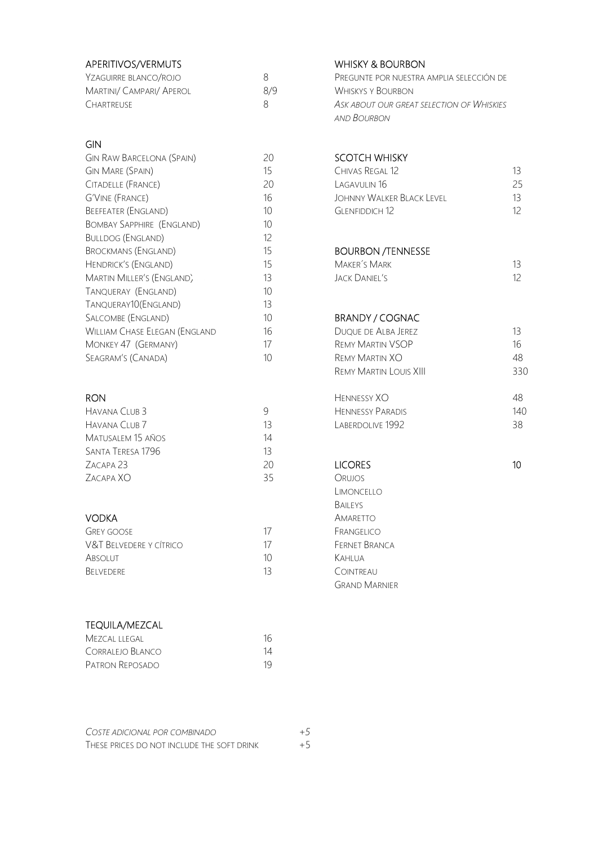| APERITIVOS/VERMUTS       |     | <b>WHISKY &amp; BOURBON</b>               |
|--------------------------|-----|-------------------------------------------|
| Yzaguirre blanco/rojo    | 8   | PREGUNTE POR NUESTRA AMPLIA SELECCIÓN DE  |
| Martini/ Campari/ Aperol | 8/9 | <b>WHISKYS Y BOURBON</b>                  |
| CHARTREUSE               | 8   | ASK ABOUT OUR GREAT SELECTION OF WHISKIES |
|                          |     | AND BOURBON                               |

### GIN

| <b>GIN RAW BARCELONA (SPAIN)</b>     | 20 | <b>SCOTCH WHISKY</b>       |                 |
|--------------------------------------|----|----------------------------|-----------------|
| <b>GIN MARE (SPAIN)</b>              | 15 | CHIVAS REGAL 12            | 13 <sup>°</sup> |
| CITADELLE (FRANCE)                   | 20 | LAGAVUI IN 16              | 25              |
| <b>G'VINE (FRANCE)</b>               | 16 | JOHNNY WAI KER BLACK LEVEL | 13              |
| <b>BEEFEATER (ENGLAND)</b>           | 10 | <b>GLENFIDDICH 12</b>      | 12 <sup>°</sup> |
| <b>BOMBAY SAPPHIRE (ENGLAND)</b>     | 10 |                            |                 |
| <b>BULLDOG (ENGLAND)</b>             | 12 |                            |                 |
| <b>BROCKMANS (ENGLAND)</b>           | 15 | <b>BOURBON /TENNESSE</b>   |                 |
| <b>HENDRICK'S (ENGLAND)</b>          | 15 | <b>MAKER'S MARK</b>        | 13 <sup>°</sup> |
| MARTIN MILLER'S (ENGLAND)            | 13 | JACK DANIFI'S              | 12              |
| TANQUERAY (ENGLAND)                  | 10 |                            |                 |
| TANQUERAY10(ENGLAND)                 | 13 |                            |                 |
| SALCOMBE (ENGLAND)                   | 10 | BRANDY / COGNAC            |                 |
| <b>WILLIAM CHASE ELEGAN (ENGLAND</b> | 16 | Duque de Alba Jerez        | 13              |
| MONKEY 47 (GERMANY)                  | 17 | <b>REMY MARTIN VSOP</b>    | 16              |
| SEAGRAM'S (CANADA)                   | 10 | <b>REMY MARTIN XO</b>      | 48              |

| HAVANA CLUB <sub>3</sub> |    | <b>HENNESSY PARADIS</b> | 140 |
|--------------------------|----|-------------------------|-----|
| HAVANA CLUB 7            | 13 | Laberdolive 1992        | 38  |
| Matusalem 15 años        | 14 |                         |     |
| Santa Teresa 1796        | 13 |                         |     |
| ZACAPA <sub>23</sub>     | 20 | <b>LICORES</b>          | 10  |
| Zacapa XO                | 35 | <b>ORUJOS</b>           |     |
|                          |    |                         |     |

| GREY GOOSE              | 17 |
|-------------------------|----|
| V&T BELVEDERE Y CÍTRICO | 17 |
| Absolut                 | 10 |
| <b>BELVEDERE</b>        | 13 |

### TEQUILA/MEZCAL

| Mezcal llegal    | 16 |
|------------------|----|
| Corralejo Blanco | 14 |
| Patron Reposado  | 19 |

# SCOTCH WHISKY

| Gin Mare (Spain)    | 15 | Chivas Regal 12           |     |
|---------------------|----|---------------------------|-----|
| Citadelle (France)  | 20 | Lagavui in 16             | 25. |
| G'Vine (France) -   | 16 | JOHNNY WALKER BLACK LEVEL | 13. |
| Beefeater (England) | 10 | GLENFIDDICH 12            |     |

### BOURBON /TENNESSE

| Maker´s Mark |  |
|--------------|--|
| ACK DANIEL'S |  |

### BRANDY / COGNAC

| William Chase Elegan (England | 16 | <b>DUQUE DE ALBA JEREZ</b>    | 13  |
|-------------------------------|----|-------------------------------|-----|
| Monkey 47 (Germany)           | 17 | <b>REMY MARTIN VSOP</b>       | 16  |
| Seagram's (Canada)            | 10 | <b>REMY MARTIN XO</b>         | 48  |
|                               |    | <b>REMY MARTIN LOUIS XIII</b> | 330 |
| RON                           |    | HENNESSY XO                   | 48  |
| Havana Club 3                 | 9  | <b>HENNESSY PARADIS</b>       | 140 |
| Havana Club 7                 | 13 | LABERDOLIVE 1992              | 38  |

 LIMONCELLO BAILEYS **VODKA** AMARETTO FRANGELICO FERNET BRANCA KAHLUA COINTREAU GRAND MARNIER

| COSTE ADICIONAL POR COMBINADO              | $+5$ |
|--------------------------------------------|------|
| THESE PRICES DO NOT INCLUDE THE SOFT DRINK | $+5$ |